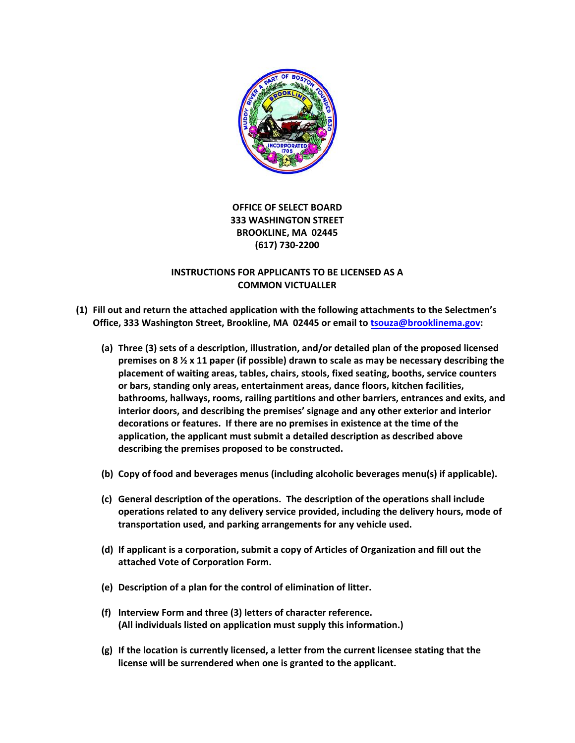

### **OFFICE OF SELECT BOARD 333 WASHINGTON STREET BROOKLINE, MA 02445 (617) 730‐2200**

### **INSTRUCTIONS FOR APPLICANTS TO BE LICENSED AS A COMMON VICTUALLER**

- **(1) Fill out and return the attached application with the following attachments to the Selectmen's Office, 333 Washington Street, Brookline, MA 02445 or email to tsouza@brooklinema.gov:**
	- **(a) Three (3) sets of a description, illustration, and/or detailed plan of the proposed licensed premises on 8 ½ x 11 paper (if possible) drawn to scale as may be necessary describing the placement of waiting areas, tables, chairs, stools, fixed seating, booths, service counters or bars, standing only areas, entertainment areas, dance floors, kitchen facilities, bathrooms, hallways, rooms, railing partitions and other barriers, entrances and exits, and interior doors, and describing the premises' signage and any other exterior and interior decorations or features. If there are no premises in existence at the time of the application, the applicant must submit a detailed description as described above describing the premises proposed to be constructed.**
	- **(b) Copy of food and beverages menus (including alcoholic beverages menu(s) if applicable).**
	- **(c) General description of the operations. The description of the operations shall include operations related to any delivery service provided, including the delivery hours, mode of transportation used, and parking arrangements for any vehicle used.**
	- **(d) If applicant is a corporation, submit a copy of Articles of Organization and fill out the attached Vote of Corporation Form.**
	- **(e) Description of a plan for the control of elimination of litter.**
	- **(f) Interview Form and three (3) letters of character reference. (All individuals listed on application must supply this information.)**
	- **(g) If the location is currently licensed, a letter from the current licensee stating that the license will be surrendered when one is granted to the applicant.**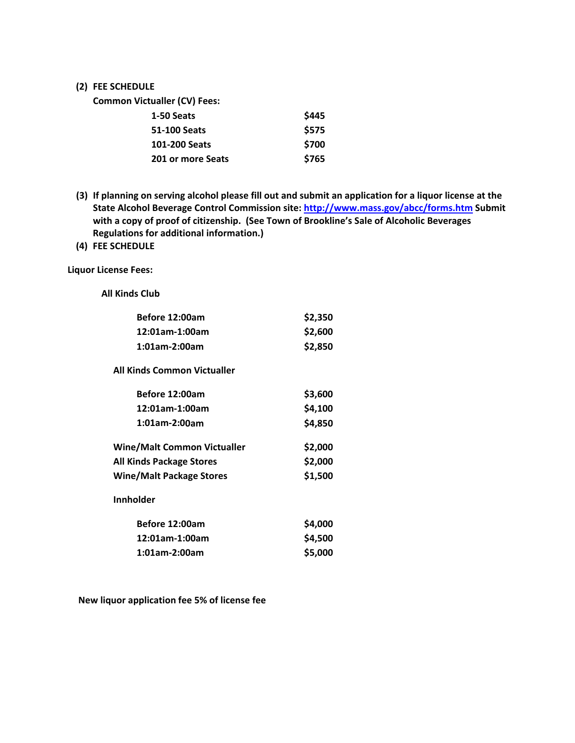#### **(2) FEE SCHEDULE**

**Common Victualler (CV) Fees:**

| 1-50 Seats        | \$445 |
|-------------------|-------|
| 51-100 Seats      | \$575 |
| 101-200 Seats     | \$700 |
| 201 or more Seats | \$765 |

- (3) If planning on serving alcohol please fill out and submit an application for a liquor license at the **State Alcohol Beverage Control Commission site: http://www.mass.gov/abcc/forms.htm Submit with a copy of proof of citizenship. (See Town of Brookline's Sale of Alcoholic Beverages Regulations for additional information.)**
- **(4) FEE SCHEDULE**

**Liquor License Fees:**

**All Kinds Club** 

| Before 12:00am                     | \$2,350 |
|------------------------------------|---------|
| 12:01am-1:00am                     | \$2,600 |
| 1:01am-2:00am                      | \$2,850 |
| All Kinds Common Victualler        |         |
| Before 12:00am                     | \$3,600 |
| 12:01am-1:00am                     | \$4,100 |
| 1:01am-2:00am                      | \$4,850 |
| <b>Wine/Malt Common Victualler</b> | \$2,000 |
| <b>All Kinds Package Stores</b>    | \$2,000 |
| <b>Wine/Malt Package Stores</b>    | \$1,500 |
| <b>Innholder</b>                   |         |
| Before 12:00am                     | \$4,000 |
| 12:01am-1:00am                     | \$4,500 |
| 1:01am-2:00am                      | \$5,000 |

**New liquor application fee 5% of license fee**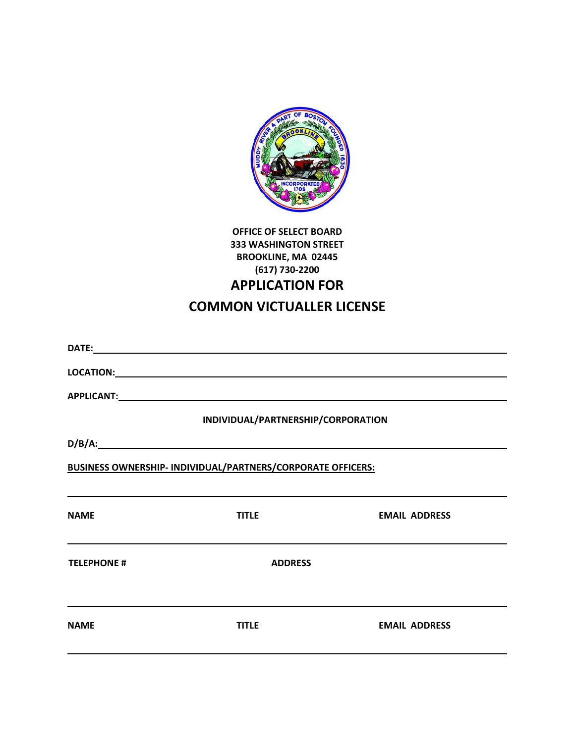

# **OFFICE OF SELECT BOARD 333 WASHINGTON STREET BROOKLINE, MA 02445 (617) 730‐2200 APPLICATION FOR COMMON VICTUALLER LICENSE**

|                    | INDIVIDUAL/PARTNERSHIP/CORPORATION                          |                      |
|--------------------|-------------------------------------------------------------|----------------------|
|                    |                                                             |                      |
|                    | BUSINESS OWNERSHIP- INDIVIDUAL/PARTNERS/CORPORATE OFFICERS: |                      |
| <b>NAME</b>        | <b>TITLE</b>                                                | <b>EMAIL ADDRESS</b> |
| <b>TELEPHONE #</b> | <b>ADDRESS</b>                                              |                      |
| <b>NAME</b>        | <b>TITLE</b>                                                | <b>EMAIL ADDRESS</b> |
|                    |                                                             |                      |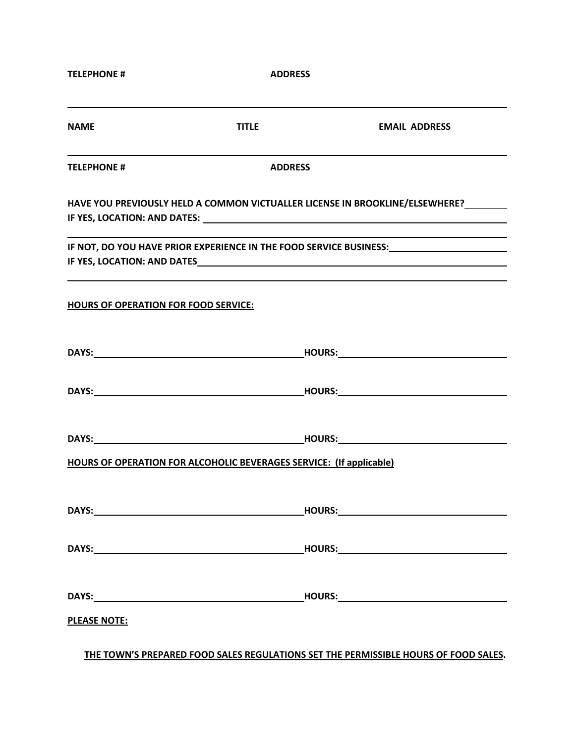| <b>TELEPHONE #</b>                          | <b>ADDRESS</b>                                                             |                                                                                                      |
|---------------------------------------------|----------------------------------------------------------------------------|------------------------------------------------------------------------------------------------------|
| <b>NAME</b>                                 | <b>TITLE</b>                                                               | <b>EMAIL ADDRESS</b>                                                                                 |
| <b>TELEPHONE #</b>                          | <b>ADDRESS</b>                                                             |                                                                                                      |
|                                             |                                                                            | HAVE YOU PREVIOUSLY HELD A COMMON VICTUALLER LICENSE IN BROOKLINE/ELSEWHERE?                         |
|                                             |                                                                            | IF NOT, DO YOU HAVE PRIOR EXPERIENCE IN THE FOOD SERVICE BUSINESS: _________________________________ |
| <b>HOURS OF OPERATION FOR FOOD SERVICE:</b> |                                                                            |                                                                                                      |
|                                             |                                                                            |                                                                                                      |
|                                             |                                                                            |                                                                                                      |
|                                             |                                                                            |                                                                                                      |
|                                             | <b>HOURS OF OPERATION FOR ALCOHOLIC BEVERAGES SERVICE: (If applicable)</b> |                                                                                                      |
|                                             |                                                                            |                                                                                                      |
|                                             |                                                                            |                                                                                                      |
|                                             |                                                                            |                                                                                                      |
| <b>PLEASE NOTE:</b>                         |                                                                            |                                                                                                      |

**THE TOWN'S PREPARED FOOD SALES REGULATIONS SET THE PERMISSIBLE HOURS OF FOOD SALES.**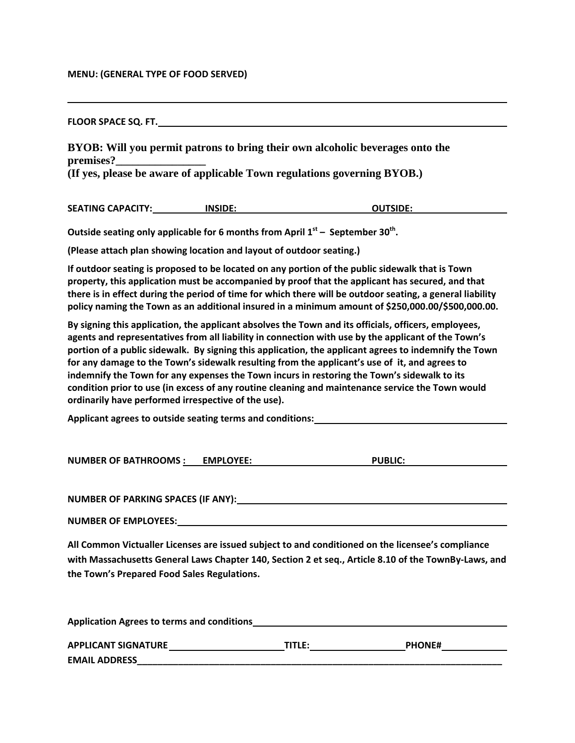#### **MENU: (GENERAL TYPE OF FOOD SERVED)**

**FLOOR SPACE SQ. FT.** 

**BYOB: Will you permit patrons to bring their own alcoholic beverages onto the premises?\_\_\_\_\_\_\_\_\_\_\_\_\_\_\_\_** 

**(If yes, please be aware of applicable Town regulations governing BYOB.)** 

|  | <b>SEATING CAPACITY:</b> | <b>INSIDE:</b> | <b>OUTSIDE:</b> |
|--|--------------------------|----------------|-----------------|
|--|--------------------------|----------------|-----------------|

**Outside seating only applicable for 6 months from April 1st – September 30th.**

**(Please attach plan showing location and layout of outdoor seating.)**

**If outdoor seating is proposed to be located on any portion of the public sidewalk that is Town property, this application must be accompanied by proof that the applicant has secured, and that** there is in effect during the period of time for which there will be outdoor seating, a general liability **policy naming the Town as an additional insured in a minimum amount of \$250,000.00/\$500,000.00.** 

**By signing this application, the applicant absolves the Town and its officials, officers, employees, agents and representatives from all liability in connection with use by the applicant of the Town's portion of a public sidewalk. By signing this application, the applicant agrees to indemnify the Town for any damage to the Town's sidewalk resulting from the applicant's use of it, and agrees to indemnify the Town for any expenses the Town incurs in restoring the Town's sidewalk to its condition prior to use (in excess of any routine cleaning and maintenance service the Town would ordinarily have performed irrespective of the use).**

**Applicant agrees to outside seating terms and conditions:** 

**NUMBER OF BATHROOMS : EMPLOYEE: PUBLIC:** 

**NUMBER OF PARKING SPACES (IF ANY):** 

**NUMBER OF EMPLOYEES:** 

**All Common Victualler Licenses are issued subject to and conditioned on the licensee's compliance** with Massachusetts General Laws Chapter 140, Section 2 et seg., Article 8.10 of the TownBy-Laws, and **the Town's Prepared Food Sales Regulations.** 

| <b>Application Agrees to terms and conditions</b> |        |               |
|---------------------------------------------------|--------|---------------|
| <b>APPLICANT SIGNATURE</b>                        | TITLE: | <b>PHONE#</b> |
| <b>EMAIL ADDRESS</b>                              |        |               |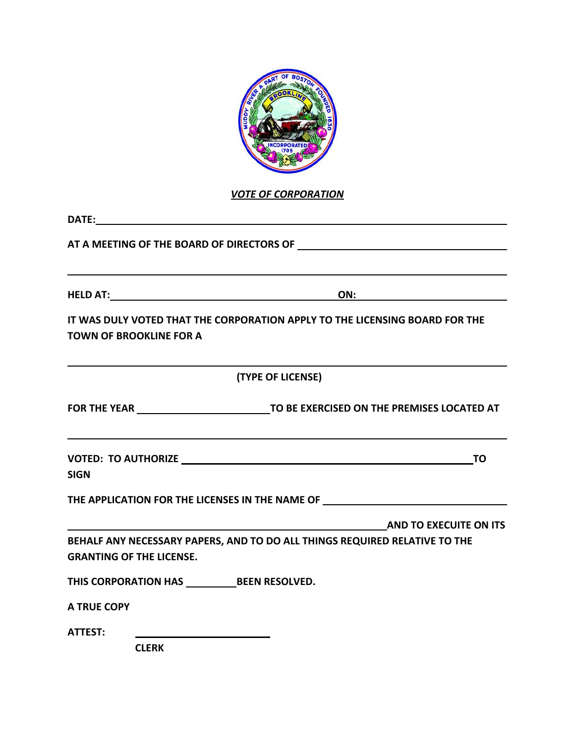

*VOTE OF CORPORATION*

| <b>TOWN OF BROOKLINE FOR A</b>                                        | IT WAS DULY VOTED THAT THE CORPORATION APPLY TO THE LICENSING BOARD FOR THE                                                         |
|-----------------------------------------------------------------------|-------------------------------------------------------------------------------------------------------------------------------------|
|                                                                       | (TYPE OF LICENSE)                                                                                                                   |
|                                                                       |                                                                                                                                     |
| <b>SIGN</b>                                                           |                                                                                                                                     |
|                                                                       | THE APPLICATION FOR THE LICENSES IN THE NAME OF                                                                                     |
| <b>GRANTING OF THE LICENSE.</b>                                       | <b>AND TO EXECUITE ON ITS</b> AND TO A SECUITE ON ITS<br>BEHALF ANY NECESSARY PAPERS, AND TO DO ALL THINGS REQUIRED RELATIVE TO THE |
| THIS CORPORATION HAS ______________BEEN RESOLVED.                     |                                                                                                                                     |
| <b>A TRUE COPY</b>                                                    |                                                                                                                                     |
| <b>ATTEST:</b><br><u> 1989 - Andrea Station, amerikansk politik (</u> |                                                                                                                                     |

 **CLERK**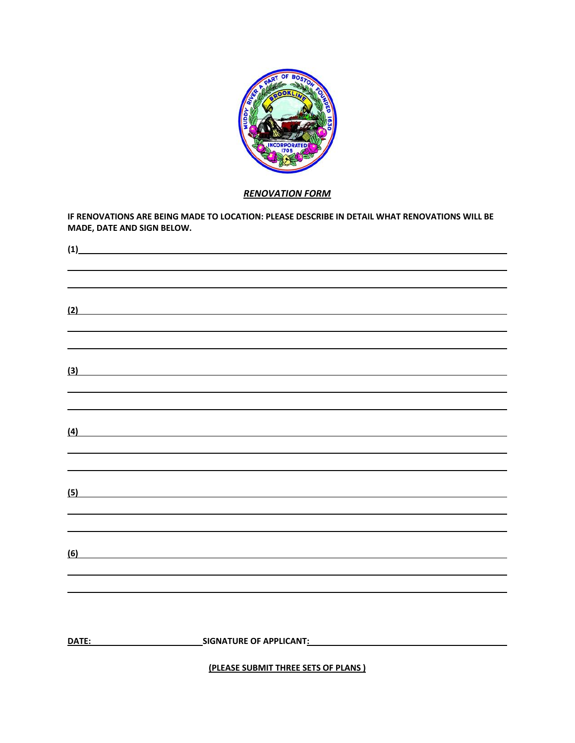

### *RENOVATION FORM*

**IF RENOVATIONS ARE BEING MADE TO LOCATION: PLEASE DESCRIBE IN DETAIL WHAT RENOVATIONS WILL BE MADE, DATE AND SIGN BELOW.**

| (1)            |                                                                                                                      |
|----------------|----------------------------------------------------------------------------------------------------------------------|
|                |                                                                                                                      |
|                |                                                                                                                      |
| (2)            | <u> 1989 - Johann Stein, marwolaethau a bhann an t-Amhair an t-Amhair an t-Amhair an t-Amhair an t-Amhair an t-A</u> |
|                |                                                                                                                      |
|                |                                                                                                                      |
|                | $\overline{3}$                                                                                                       |
|                |                                                                                                                      |
|                | $\left(4\right)$                                                                                                     |
|                |                                                                                                                      |
|                |                                                                                                                      |
|                | (5)                                                                                                                  |
|                |                                                                                                                      |
|                |                                                                                                                      |
| $\overline{6}$ |                                                                                                                      |
|                |                                                                                                                      |
|                |                                                                                                                      |
|                |                                                                                                                      |
| DATE:          |                                                                                                                      |

**(PLEASE SUBMIT THREE SETS OF PLANS )**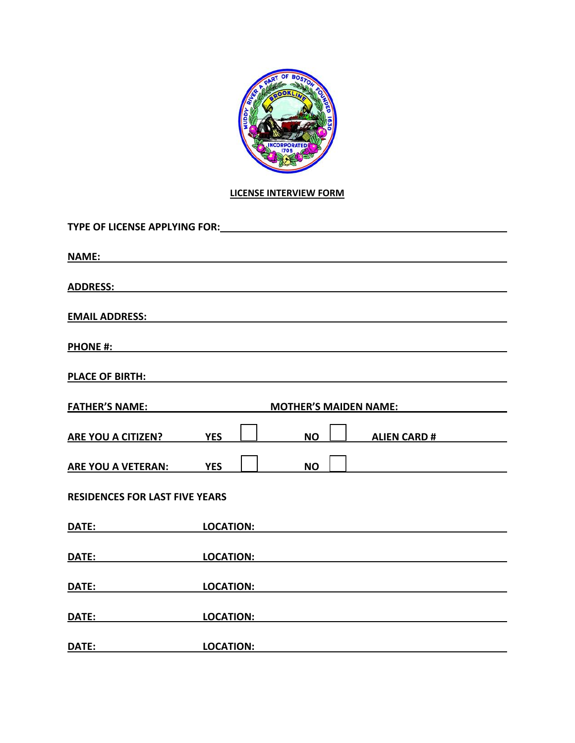

# **LICENSE INTERVIEW FORM**

| TYPE OF LICENSE APPLYING FOR: Network and the state of the state of the state of the state of the state of the                                                                                                                       |               |                         |  |
|--------------------------------------------------------------------------------------------------------------------------------------------------------------------------------------------------------------------------------------|---------------|-------------------------|--|
|                                                                                                                                                                                                                                      |               |                         |  |
| ADDRESS: ADDRESS:                                                                                                                                                                                                                    |               |                         |  |
|                                                                                                                                                                                                                                      |               |                         |  |
|                                                                                                                                                                                                                                      |               |                         |  |
| PLACE OF BIRTH: The contract of the contract of the contract of the contract of the contract of the contract of the contract of the contract of the contract of the contract of the contract of the contract of the contract o       |               |                         |  |
| <u>FATHER'S NAME: MOTHER'S MAIDEN NAME:</u>                                                                                                                                                                                          |               |                         |  |
| ARE YOU A CITIZEN? YES                                                                                                                                                                                                               | $\frac{1}{2}$ | <u>NOU ALIEN CARD #</u> |  |
| ARE YOU A VETERAN: YES                                                                                                                                                                                                               | <b>NO</b>     |                         |  |
| <b>RESIDENCES FOR LAST FIVE YEARS</b>                                                                                                                                                                                                |               |                         |  |
| <u>DATE: LOCATION:</u> LOCATION:                                                                                                                                                                                                     |               |                         |  |
| DATE: LOCATION: LOCATION: LOCATION:                                                                                                                                                                                                  |               |                         |  |
| DATE: LOCATION: LOCATION:                                                                                                                                                                                                            |               |                         |  |
| <u>DATE: LOCATION: LOCATION: LOCATION: LOCATION: LOCATION: LOCATION: LOCATION: LOCATION: LOCATION: LOCATION: LOCATION: LOCATION: LOCATION: LOCATION: LOCATION: LOCATION: LOCATION: LOCATION: LOCATION: LOCATION: LOCATION: LOCAT</u> |               |                         |  |
| <u>DATE: ______________________</u>                                                                                                                                                                                                  |               |                         |  |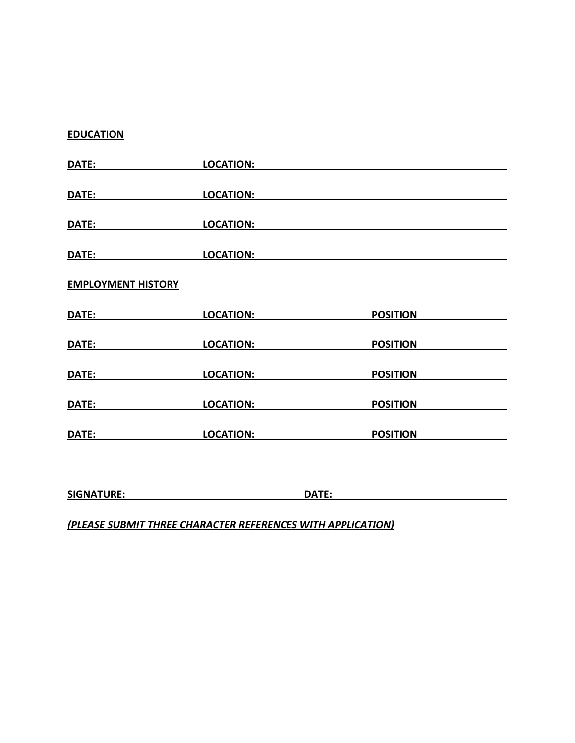## **EDUCATION**

| DATE:                     | <b>LOCATION:</b> |       |                 |
|---------------------------|------------------|-------|-----------------|
| DATE:                     | <b>LOCATION:</b> |       |                 |
| DATE:                     | <b>LOCATION:</b> |       |                 |
| DATE:                     | <b>LOCATION:</b> |       |                 |
| <b>EMPLOYMENT HISTORY</b> |                  |       |                 |
| DATE:                     | <b>LOCATION:</b> |       | <b>POSITION</b> |
| DATE:                     | <b>LOCATION:</b> |       | <b>POSITION</b> |
| DATE:                     | <b>LOCATION:</b> |       | <b>POSITION</b> |
| DATE:                     | <b>LOCATION:</b> |       | <b>POSITION</b> |
| DATE:                     | <b>LOCATION:</b> |       | <b>POSITION</b> |
|                           |                  |       |                 |
| <b>SIGNATURE:</b>         |                  | DATE: |                 |

# *(PLEASE SUBMIT THREE CHARACTER REFERENCES WITH APPLICATION)*